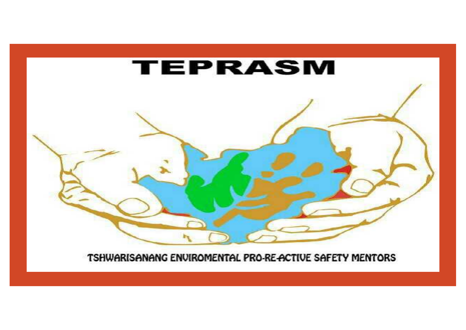

TSHWARISANANG ENVIROMENTAL PRO-RE-ACTIVE SAFETY MENTORS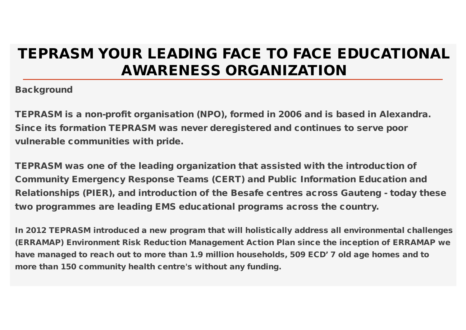# **TEPRASM YOUR LEADING FACE TO FACE EDUCATIONAL AWARENESS ORGANIZATION**

**Background**

**TEPRASM is a non-profit organisation (NPO), formed in 2006 and is based in Alexandra. Since its formation TEPRASM was never deregistered and continues to serve poor vulnerable communities with pride.**

**TEPRASM was one of the leading organization that assisted with the introduction of Community Emergency Response Teams (CERT) and Public Information Education and Relationships (PIER), and introduction of the Besafe centres across Gauteng - today these two programmes are leading EMS educational programs across the country.**

**In 2012 TEPRASM introduced a new program that will holistically address all environmental challenges (ERRAMAP) Environment Risk Reduction Management Action Plan since the inception of ERRAMAP we have managed to reach out to more than 1.9 million households, 509 ECD' 7 old age homes and to more than 150 community health centre's without any funding.**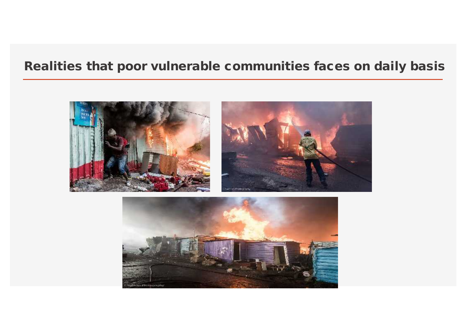## **Realities that poor vulnerable communities faces on daily basis**



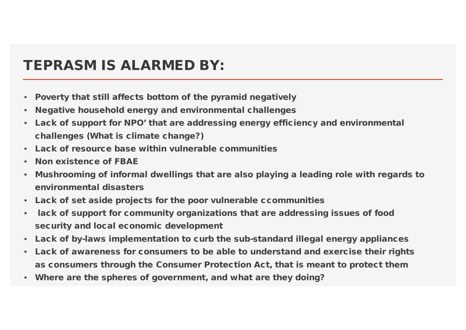## **TEPRASM IS ALARMED BY:**

- **Poverty that still affects bottom of the pyramid negatively**
- **Negative household energy and environmental challenges**
- **Lack of support for NPO' that are addressing energy efficiency and environmental challenges (What is climate change?)**
- **Lack of resource base within vulnerable communities**
- **Non existence of FBAE**
- **Mushrooming of informal dwellings that are also playing a leading role with regards to environmental disasters**
- **Lack of set aside projects for the poor vulnerable ccommunities**
- lack of support for community organizations that are addressing issues of food **security and local economic development**
- **Lack of by-laws implementation to curb the sub-standard illegal energy appliances**
- **Lack of awareness for consumers to be able to understand and exercise their rights as consumers through the Consumer Protection Act, that is meant to protect them**
- **Where are the spheres of government, and what are they doing?**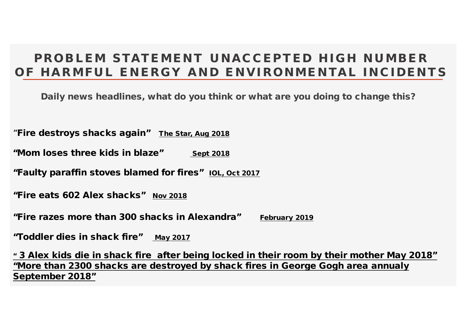#### *PROBLEM STATEMENT UNACCEPTED HIGH NUMBER OF HARMFUL ENERGY AND ENVIRONMENTAL INCIDENTS*

**Daily news headlines, what do you think or what are you doing to change this?**

*"Fire destroys shacks again"* **The Star, Aug 2018**

"Mom loses three kids in blaze" sept 2018

*"Faulty paraffin stoves blamed for fires"* **IOL, Oct 2017**

*"Fire eats 602 Alex shacks"* **Nov 2018**

*"Fire razes more than 300 shacks in Alexandra"* **February 2019**

*"Toddler dies in shack fire"* **May 2017**

**" 3 Alex kids die in shack fire after being locked in their room by their mother May 2018" "More than 2300 shacks are destroyed by shack fires in George Gogh area annualy September 2018"**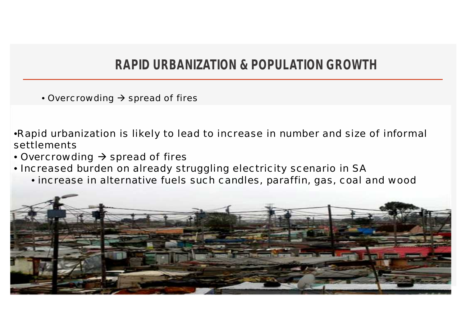## **RAPID URBANIZATION & POPULATION GROWTH**

• Overcrowding  $\rightarrow$  spread of fires

•Rapid urbanization is likely to lead to increase in number and size of informal settlements

- Overcrowding  $\rightarrow$  spread of fires
- Increased burden on already struggling electricity scenario in SA
	- increase in alternative fuels such candles, paraffin, gas, coal and wood

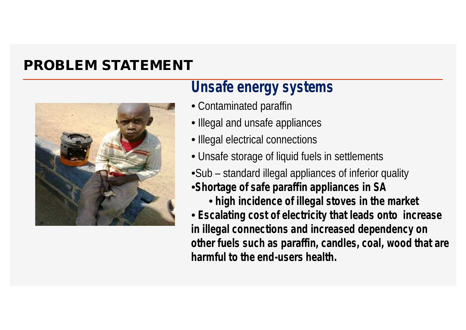## **PROBLEM STATEMENT**



## **Unsafe energy systems**

- Contaminated paraffin
- Illegal and unsafe appliances
- Illegal electrical connections
- Unsafe storage of liquid fuels in settlements
- •Sub standard illegal appliances of inferior quality
- •**Shortage of safe paraffin appliances in SA**
	- **high incidence of illegal stoves in the market**
- **Escalating cost of electricity that leads onto increase in illegal connections and increased dependency on other fuels such as paraffin, candles, coal, wood that are harmful to the end-users health.**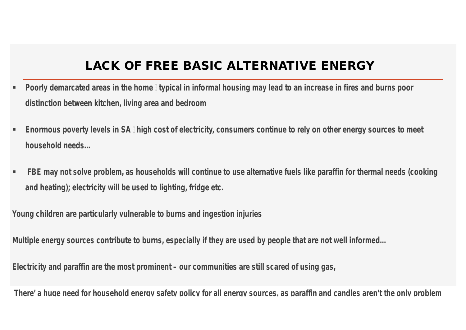#### **LACK OF FREE BASIC ALTERNATIVE ENERGY**

- **Poorly demarcated areas in the home typical in informal housing may lead to an increase in fires and burns poor distinction between kitchen, living area and bedroom**
- **Enormous poverty levels in SA high cost of electricity, consumers continue to rely on other energy sources to meet household needs…**
- **FBE may not solve problem, as households will continue to use alternative fuels like paraffin for thermal needs (cooking and heating); electricity will be used to lighting, fridge etc.**

**Young children are particularly vulnerable to burns and ingestion injuries**

**Multiple energy sources contribute to burns, especially if they are used by people that are not well informed…**

**Electricity and paraffin are the most prominent – our communities are still scared of using gas,**

**There' a huge need for household energy safety policy for all energy sources, as paraffin and candles aren't the only problem**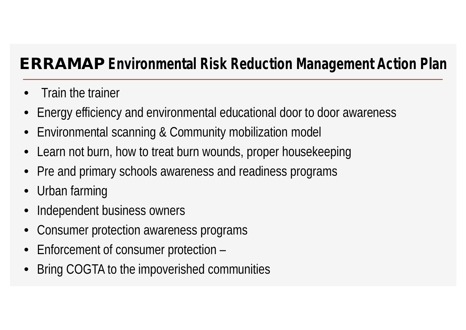# **ERRAMAP Environmental Risk Reduction Management Action Plan**

- Train the trainer
- Energy efficiency and environmental educational door to door awareness
- Environmental scanning & Community mobilization model
- Learn not burn, how to treat burn wounds, proper housekeeping
- Pre and primary schools awareness and readiness programs
- Urban farming
- Independent business owners
- Consumer protection awareness programs
- Enforcement of consumer protection –
- Bring COGTA to the impoverished communities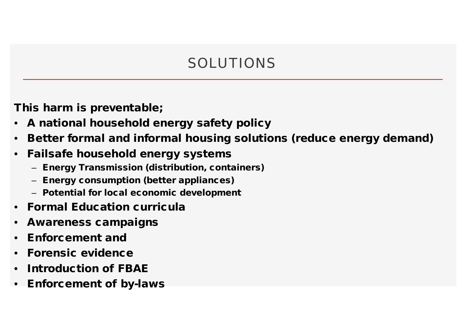# SOLUTIONS

*This harm is preventable;*

- *A national household energy safety policy*
- *Better formal and informal housing solutions (reduce energy demand)*
- *Failsafe household energy systems*
	- *Energy Transmission (distribution, containers)*
	- *Energy consumption (better appliances)*
	- *Potential for local economic development*
- *Formal Education curricula*
- *Awareness campaigns*
- *Enforcement and*
- *Forensic evidence*
- *Introduction of FBAE*
- *Enforcement of by-laws*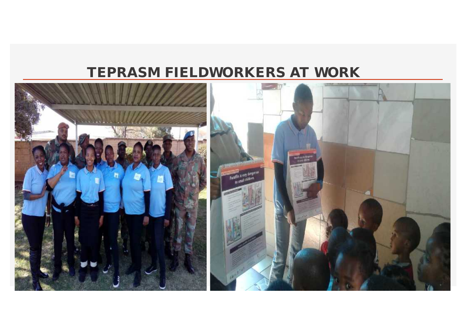## **TEPRASM FIELDWORKERS AT WORK**

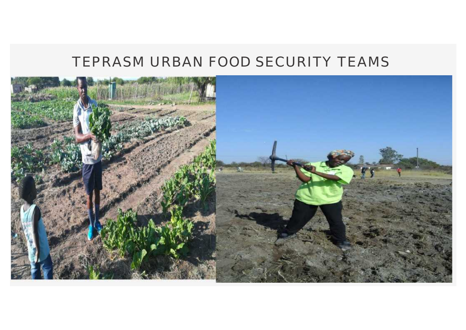## TEPRASM URBAN FOOD SECURITY TEAMS

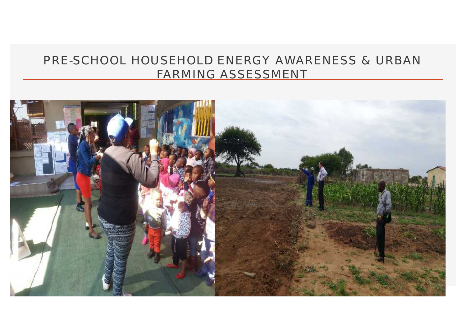#### PRE-SCHOOL HOUSEHOLD ENERGY AWARENESS & URBAN FARMING ASSESSMENT

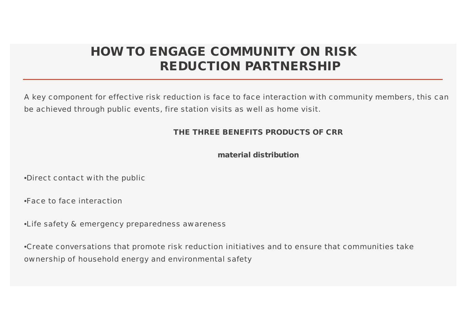### **HOW TO ENGAGE COMMUNITY ON RISK REDUCTION PARTNERSHIP**

A key component for effective risk reduction is face to face interaction with community members, this can be achieved through public events, fire station visits as well as home visit.

**THE THREE BENEFITS PRODUCTS OF CRR**

**material distribution**

•Direct contact with the public

•Face to face interaction

•Life safety & emergency preparedness awareness

•Create conversations that promote risk reduction initiatives and to ensure that communities take ownership of household energy and environmental safety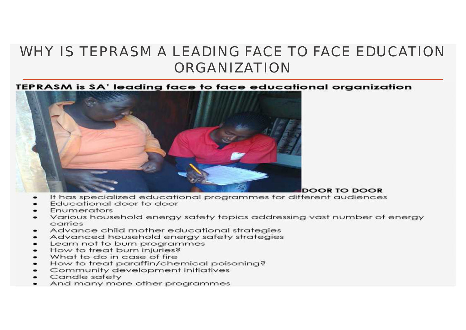## WHY IS TEPRASM A LEADING FACE TO FACE EDUCATION ORGANIZATION

TEPRASM is SA' leading face to face educational organization



- It has specialized educational programmes for different audiences
- Educational door to door
- Enumerators
- Various household energy safety topics addressing vast number of energy carries
- Advance child mother educational strategies
- Advanced household energy safety strategies
- Learn not to burn programmes
- How to treat burn injuries?
- What to do in case of fire
- How to treat paraffin/chemical poisoning?
- Community development initiatives  $\bullet$
- Candle safety
- And many more other programmes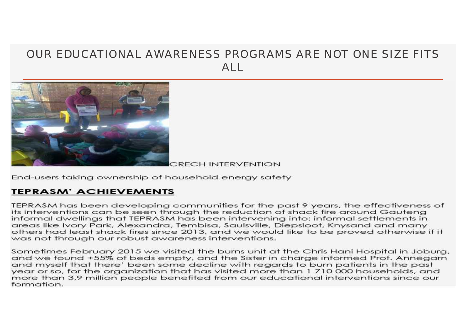#### OUR EDUCATIONAL AWARENESS PROGRAMS ARE NOT ONE SIZE FITS  $AI$



**CRECH INTERVENTION** 

End-users taking ownership of household energy safety

#### **TEPRASM' ACHIEVEMENTS**

TEPRASM has been developing communities for the past 9 years, the effectiveness of its interventions can be seen through the reduction of shack fire around Gauteng informal dwellings that TEPRASM has been intervening into: informal settlements in areas like Ivory Park, Alexandra, Tembisa, Saulsville, Diepsloot, Knysand and many others had least shack fires since 2013, and we would like to be proved otherwise if it was not through our robust awareness interventions.

Sometimes February 2015 we visited the burns unit at the Chris Hani Hospital in Joburg, and we found +55% of beds empty, and the Sister in charge informed Prof. Annegarn and myself that there' been some decline with regards to burn patients in the past year or so, for the organization that has visited more than 1710000 households, and more than 3.9 million people benefited from our educational interventions since our formation.